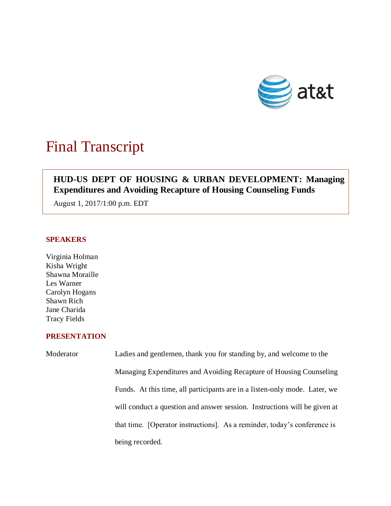

# Final Transcript

## **HUD-US DEPT OF HOUSING & URBAN DEVELOPMENT: Managing Expenditures and Avoiding Recapture of Housing Counseling Funds**

August 1, 2017/1:00 p.m. EDT

### **SPEAKERS**

Virginia Holman Kisha Wright Shawna Moraille Les Warner Carolyn Hogans Shawn Rich Jane Charida Tracy Fields

#### **PRESENTATION**

| Moderator | Ladies and gentlemen, thank you for standing by, and welcome to the        |
|-----------|----------------------------------------------------------------------------|
|           | Managing Expenditures and Avoiding Recapture of Housing Counseling         |
|           | Funds. At this time, all participants are in a listen-only mode. Later, we |
|           | will conduct a question and answer session. Instructions will be given at  |
|           | that time. [Operator instructions]. As a reminder, today's conference is   |
|           | being recorded.                                                            |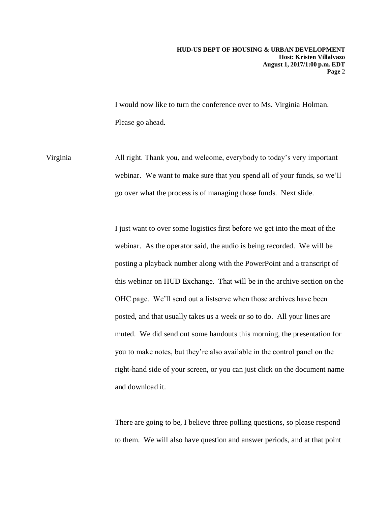I would now like to turn the conference over to Ms. Virginia Holman. Please go ahead.

Virginia All right. Thank you, and welcome, everybody to today's very important webinar. We want to make sure that you spend all of your funds, so we'll go over what the process is of managing those funds. Next slide.

> I just want to over some logistics first before we get into the meat of the webinar. As the operator said, the audio is being recorded. We will be posting a playback number along with the PowerPoint and a transcript of this webinar on HUD Exchange. That will be in the archive section on the OHC page. We'll send out a listserve when those archives have been posted, and that usually takes us a week or so to do. All your lines are muted. We did send out some handouts this morning, the presentation for you to make notes, but they're also available in the control panel on the right-hand side of your screen, or you can just click on the document name and download it.

There are going to be, I believe three polling questions, so please respond to them. We will also have question and answer periods, and at that point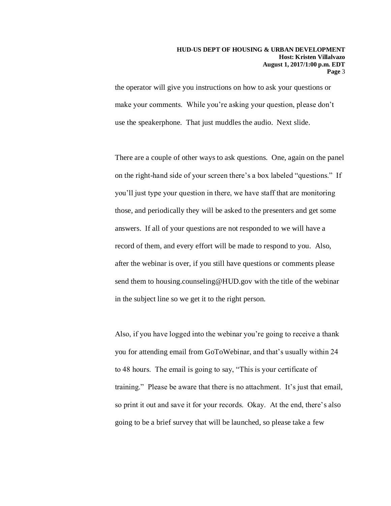the operator will give you instructions on how to ask your questions or make your comments. While you're asking your question, please don't use the speakerphone. That just muddles the audio. Next slide.

There are a couple of other ways to ask questions. One, again on the panel on the right-hand side of your screen there's a box labeled "questions." If you'll just type your question in there, we have staff that are monitoring those, and periodically they will be asked to the presenters and get some answers. If all of your questions are not responded to we will have a record of them, and every effort will be made to respond to you. Also, after the webinar is over, if you still have questions or comments please send them to housing.counseling@HUD.gov with the title of the webinar in the subject line so we get it to the right person.

Also, if you have logged into the webinar you're going to receive a thank you for attending email from GoToWebinar, and that's usually within 24 to 48 hours. The email is going to say, "This is your certificate of training." Please be aware that there is no attachment. It's just that email, so print it out and save it for your records. Okay. At the end, there's also going to be a brief survey that will be launched, so please take a few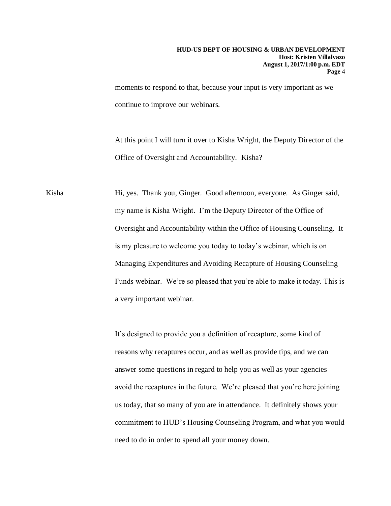moments to respond to that, because your input is very important as we continue to improve our webinars.

At this point I will turn it over to Kisha Wright, the Deputy Director of the Office of Oversight and Accountability. Kisha?

Kisha Hi, yes. Thank you, Ginger. Good afternoon, everyone. As Ginger said, my name is Kisha Wright. I'm the Deputy Director of the Office of Oversight and Accountability within the Office of Housing Counseling. It is my pleasure to welcome you today to today's webinar, which is on Managing Expenditures and Avoiding Recapture of Housing Counseling Funds webinar. We're so pleased that you're able to make it today. This is a very important webinar.

> It's designed to provide you a definition of recapture, some kind of reasons why recaptures occur, and as well as provide tips, and we can answer some questions in regard to help you as well as your agencies avoid the recaptures in the future. We're pleased that you're here joining us today, that so many of you are in attendance. It definitely shows your commitment to HUD's Housing Counseling Program, and what you would need to do in order to spend all your money down.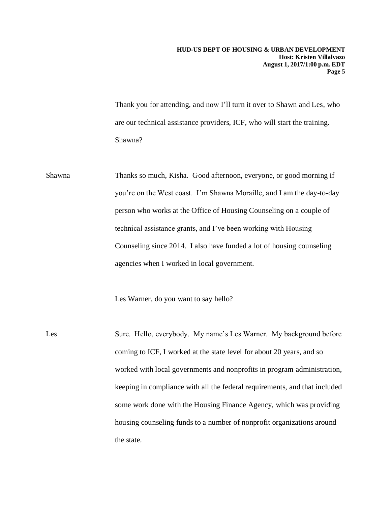Thank you for attending, and now I'll turn it over to Shawn and Les, who are our technical assistance providers, ICF, who will start the training. Shawna?

Shawna Thanks so much, Kisha. Good afternoon, everyone, or good morning if you're on the West coast. I'm Shawna Moraille, and I am the day-to-day person who works at the Office of Housing Counseling on a couple of technical assistance grants, and I've been working with Housing Counseling since 2014. I also have funded a lot of housing counseling agencies when I worked in local government.

Les Warner, do you want to say hello?

Les Sure. Hello, everybody. My name's Les Warner. My background before coming to ICF, I worked at the state level for about 20 years, and so worked with local governments and nonprofits in program administration, keeping in compliance with all the federal requirements, and that included some work done with the Housing Finance Agency, which was providing housing counseling funds to a number of nonprofit organizations around the state.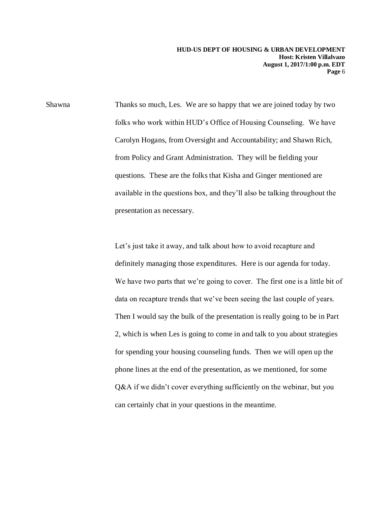Shawna Thanks so much, Les. We are so happy that we are joined today by two folks who work within HUD's Office of Housing Counseling. We have Carolyn Hogans, from Oversight and Accountability; and Shawn Rich, from Policy and Grant Administration. They will be fielding your questions. These are the folks that Kisha and Ginger mentioned are available in the questions box, and they'll also be talking throughout the presentation as necessary.

> Let's just take it away, and talk about how to avoid recapture and definitely managing those expenditures. Here is our agenda for today. We have two parts that we're going to cover. The first one is a little bit of data on recapture trends that we've been seeing the last couple of years. Then I would say the bulk of the presentation is really going to be in Part 2, which is when Les is going to come in and talk to you about strategies for spending your housing counseling funds. Then we will open up the phone lines at the end of the presentation, as we mentioned, for some Q&A if we didn't cover everything sufficiently on the webinar, but you can certainly chat in your questions in the meantime.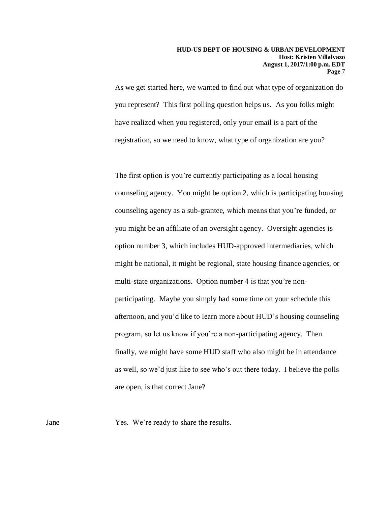As we get started here, we wanted to find out what type of organization do you represent? This first polling question helps us. As you folks might have realized when you registered, only your email is a part of the registration, so we need to know, what type of organization are you?

The first option is you're currently participating as a local housing counseling agency. You might be option 2, which is participating housing counseling agency as a sub-grantee, which means that you're funded, or you might be an affiliate of an oversight agency. Oversight agencies is option number 3, which includes HUD-approved intermediaries, which might be national, it might be regional, state housing finance agencies, or multi-state organizations. Option number 4 is that you're nonparticipating. Maybe you simply had some time on your schedule this afternoon, and you'd like to learn more about HUD's housing counseling program, so let us know if you're a non-participating agency. Then finally, we might have some HUD staff who also might be in attendance as well, so we'd just like to see who's out there today. I believe the polls are open, is that correct Jane?

Jane Yes. We're ready to share the results.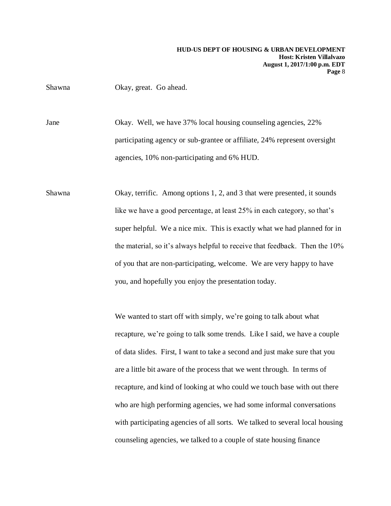Shawna Okay, great. Go ahead.

Jane Okay. Well, we have 37% local housing counseling agencies, 22% participating agency or sub-grantee or affiliate, 24% represent oversight agencies, 10% non-participating and 6% HUD.

Shawna Okay, terrific. Among options 1, 2, and 3 that were presented, it sounds like we have a good percentage, at least 25% in each category, so that's super helpful. We a nice mix. This is exactly what we had planned for in the material, so it's always helpful to receive that feedback. Then the 10% of you that are non-participating, welcome. We are very happy to have you, and hopefully you enjoy the presentation today.

> We wanted to start off with simply, we're going to talk about what recapture, we're going to talk some trends. Like I said, we have a couple of data slides. First, I want to take a second and just make sure that you are a little bit aware of the process that we went through. In terms of recapture, and kind of looking at who could we touch base with out there who are high performing agencies, we had some informal conversations with participating agencies of all sorts. We talked to several local housing counseling agencies, we talked to a couple of state housing finance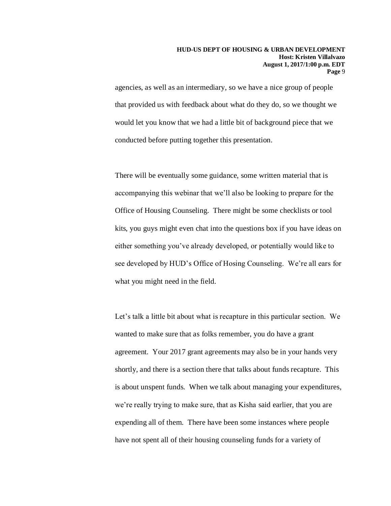agencies, as well as an intermediary, so we have a nice group of people that provided us with feedback about what do they do, so we thought we would let you know that we had a little bit of background piece that we conducted before putting together this presentation.

There will be eventually some guidance, some written material that is accompanying this webinar that we'll also be looking to prepare for the Office of Housing Counseling. There might be some checklists or tool kits, you guys might even chat into the questions box if you have ideas on either something you've already developed, or potentially would like to see developed by HUD's Office of Hosing Counseling. We're all ears for what you might need in the field.

Let's talk a little bit about what is recapture in this particular section. We wanted to make sure that as folks remember, you do have a grant agreement. Your 2017 grant agreements may also be in your hands very shortly, and there is a section there that talks about funds recapture. This is about unspent funds. When we talk about managing your expenditures, we're really trying to make sure, that as Kisha said earlier, that you are expending all of them. There have been some instances where people have not spent all of their housing counseling funds for a variety of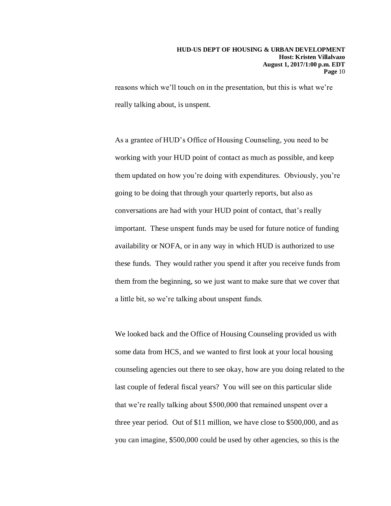reasons which we'll touch on in the presentation, but this is what we're really talking about, is unspent.

As a grantee of HUD's Office of Housing Counseling, you need to be working with your HUD point of contact as much as possible, and keep them updated on how you're doing with expenditures. Obviously, you're going to be doing that through your quarterly reports, but also as conversations are had with your HUD point of contact, that's really important. These unspent funds may be used for future notice of funding availability or NOFA, or in any way in which HUD is authorized to use these funds. They would rather you spend it after you receive funds from them from the beginning, so we just want to make sure that we cover that a little bit, so we're talking about unspent funds.

We looked back and the Office of Housing Counseling provided us with some data from HCS, and we wanted to first look at your local housing counseling agencies out there to see okay, how are you doing related to the last couple of federal fiscal years? You will see on this particular slide that we're really talking about \$500,000 that remained unspent over a three year period. Out of \$11 million, we have close to \$500,000, and as you can imagine, \$500,000 could be used by other agencies, so this is the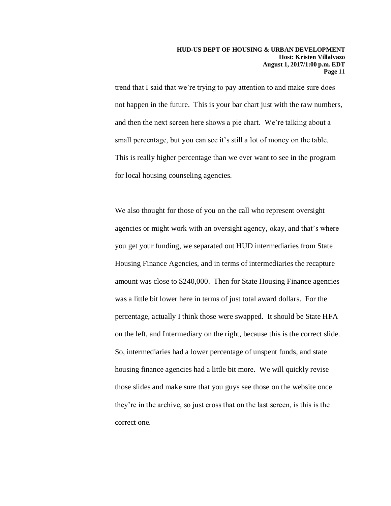trend that I said that we're trying to pay attention to and make sure does not happen in the future. This is your bar chart just with the raw numbers, and then the next screen here shows a pie chart. We're talking about a small percentage, but you can see it's still a lot of money on the table. This is really higher percentage than we ever want to see in the program for local housing counseling agencies.

We also thought for those of you on the call who represent oversight agencies or might work with an oversight agency, okay, and that's where you get your funding, we separated out HUD intermediaries from State Housing Finance Agencies, and in terms of intermediaries the recapture amount was close to \$240,000. Then for State Housing Finance agencies was a little bit lower here in terms of just total award dollars. For the percentage, actually I think those were swapped. It should be State HFA on the left, and Intermediary on the right, because this is the correct slide. So, intermediaries had a lower percentage of unspent funds, and state housing finance agencies had a little bit more. We will quickly revise those slides and make sure that you guys see those on the website once they're in the archive, so just cross that on the last screen, is this is the correct one.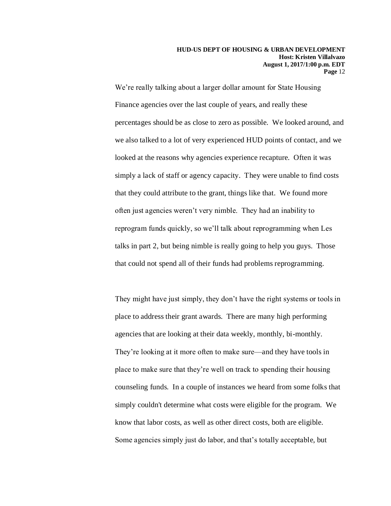We're really talking about a larger dollar amount for State Housing Finance agencies over the last couple of years, and really these percentages should be as close to zero as possible. We looked around, and we also talked to a lot of very experienced HUD points of contact, and we looked at the reasons why agencies experience recapture. Often it was simply a lack of staff or agency capacity. They were unable to find costs that they could attribute to the grant, things like that. We found more often just agencies weren't very nimble. They had an inability to reprogram funds quickly, so we'll talk about reprogramming when Les talks in part 2, but being nimble is really going to help you guys. Those that could not spend all of their funds had problems reprogramming.

They might have just simply, they don't have the right systems or tools in place to address their grant awards. There are many high performing agencies that are looking at their data weekly, monthly, bi-monthly. They're looking at it more often to make sure—and they have tools in place to make sure that they're well on track to spending their housing counseling funds. In a couple of instances we heard from some folks that simply couldn't determine what costs were eligible for the program. We know that labor costs, as well as other direct costs, both are eligible. Some agencies simply just do labor, and that's totally acceptable, but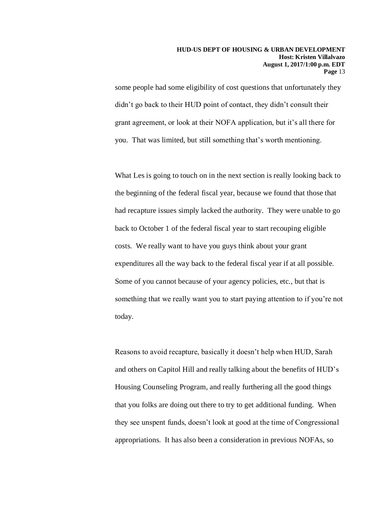some people had some eligibility of cost questions that unfortunately they didn't go back to their HUD point of contact, they didn't consult their grant agreement, or look at their NOFA application, but it's all there for you. That was limited, but still something that's worth mentioning.

What Les is going to touch on in the next section is really looking back to the beginning of the federal fiscal year, because we found that those that had recapture issues simply lacked the authority. They were unable to go back to October 1 of the federal fiscal year to start recouping eligible costs. We really want to have you guys think about your grant expenditures all the way back to the federal fiscal year if at all possible. Some of you cannot because of your agency policies, etc., but that is something that we really want you to start paying attention to if you're not today.

Reasons to avoid recapture, basically it doesn't help when HUD, Sarah and others on Capitol Hill and really talking about the benefits of HUD's Housing Counseling Program, and really furthering all the good things that you folks are doing out there to try to get additional funding. When they see unspent funds, doesn't look at good at the time of Congressional appropriations. It has also been a consideration in previous NOFAs, so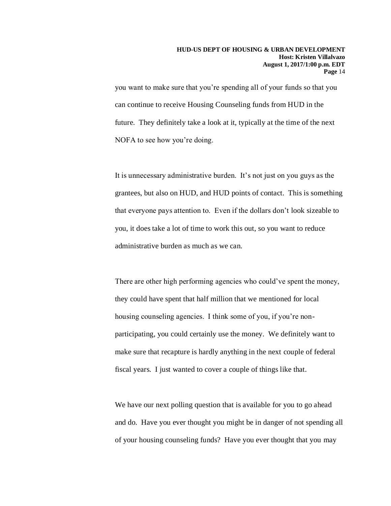you want to make sure that you're spending all of your funds so that you can continue to receive Housing Counseling funds from HUD in the future. They definitely take a look at it, typically at the time of the next NOFA to see how you're doing.

It is unnecessary administrative burden. It's not just on you guys as the grantees, but also on HUD, and HUD points of contact. This is something that everyone pays attention to. Even if the dollars don't look sizeable to you, it does take a lot of time to work this out, so you want to reduce administrative burden as much as we can.

There are other high performing agencies who could've spent the money, they could have spent that half million that we mentioned for local housing counseling agencies. I think some of you, if you're nonparticipating, you could certainly use the money. We definitely want to make sure that recapture is hardly anything in the next couple of federal fiscal years. I just wanted to cover a couple of things like that.

We have our next polling question that is available for you to go ahead and do. Have you ever thought you might be in danger of not spending all of your housing counseling funds? Have you ever thought that you may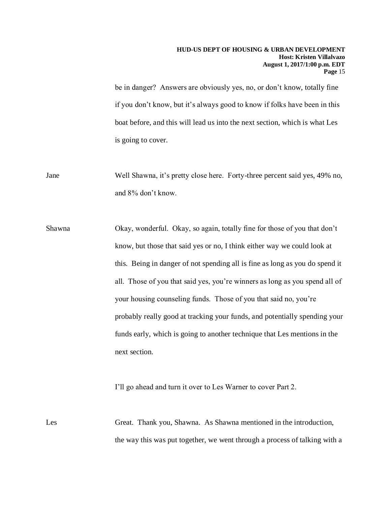be in danger? Answers are obviously yes, no, or don't know, totally fine if you don't know, but it's always good to know if folks have been in this boat before, and this will lead us into the next section, which is what Les is going to cover.

Jane Well Shawna, it's pretty close here. Forty-three percent said yes, 49% no, and 8% don't know.

Shawna Okay, wonderful. Okay, so again, totally fine for those of you that don't know, but those that said yes or no, I think either way we could look at this. Being in danger of not spending all is fine as long as you do spend it all. Those of you that said yes, you're winners as long as you spend all of your housing counseling funds. Those of you that said no, you're probably really good at tracking your funds, and potentially spending your funds early, which is going to another technique that Les mentions in the next section.

I'll go ahead and turn it over to Les Warner to cover Part 2.

Les Great. Thank you, Shawna. As Shawna mentioned in the introduction, the way this was put together, we went through a process of talking with a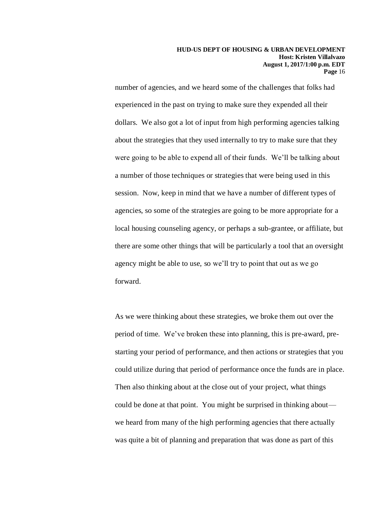number of agencies, and we heard some of the challenges that folks had experienced in the past on trying to make sure they expended all their dollars. We also got a lot of input from high performing agencies talking about the strategies that they used internally to try to make sure that they were going to be able to expend all of their funds. We'll be talking about a number of those techniques or strategies that were being used in this session. Now, keep in mind that we have a number of different types of agencies, so some of the strategies are going to be more appropriate for a local housing counseling agency, or perhaps a sub-grantee, or affiliate, but there are some other things that will be particularly a tool that an oversight agency might be able to use, so we'll try to point that out as we go forward.

As we were thinking about these strategies, we broke them out over the period of time. We've broken these into planning, this is pre-award, prestarting your period of performance, and then actions or strategies that you could utilize during that period of performance once the funds are in place. Then also thinking about at the close out of your project, what things could be done at that point. You might be surprised in thinking about we heard from many of the high performing agencies that there actually was quite a bit of planning and preparation that was done as part of this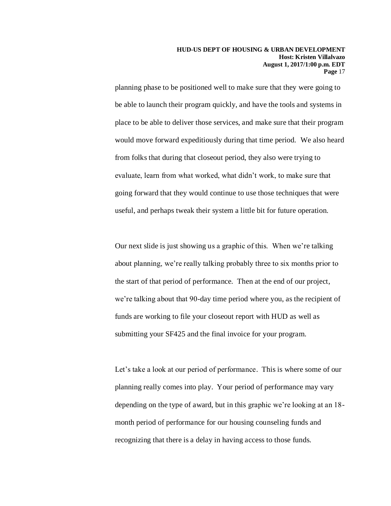planning phase to be positioned well to make sure that they were going to be able to launch their program quickly, and have the tools and systems in place to be able to deliver those services, and make sure that their program would move forward expeditiously during that time period. We also heard from folks that during that closeout period, they also were trying to evaluate, learn from what worked, what didn't work, to make sure that going forward that they would continue to use those techniques that were useful, and perhaps tweak their system a little bit for future operation.

Our next slide is just showing us a graphic of this. When we're talking about planning, we're really talking probably three to six months prior to the start of that period of performance. Then at the end of our project, we're talking about that 90-day time period where you, as the recipient of funds are working to file your closeout report with HUD as well as submitting your SF425 and the final invoice for your program.

Let's take a look at our period of performance. This is where some of our planning really comes into play. Your period of performance may vary depending on the type of award, but in this graphic we're looking at an 18 month period of performance for our housing counseling funds and recognizing that there is a delay in having access to those funds.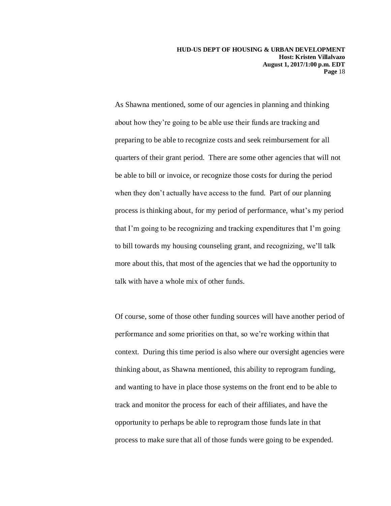As Shawna mentioned, some of our agencies in planning and thinking about how they're going to be able use their funds are tracking and preparing to be able to recognize costs and seek reimbursement for all quarters of their grant period. There are some other agencies that will not be able to bill or invoice, or recognize those costs for during the period when they don't actually have access to the fund. Part of our planning process is thinking about, for my period of performance, what's my period that I'm going to be recognizing and tracking expenditures that I'm going to bill towards my housing counseling grant, and recognizing, we'll talk more about this, that most of the agencies that we had the opportunity to talk with have a whole mix of other funds.

Of course, some of those other funding sources will have another period of performance and some priorities on that, so we're working within that context. During this time period is also where our oversight agencies were thinking about, as Shawna mentioned, this ability to reprogram funding, and wanting to have in place those systems on the front end to be able to track and monitor the process for each of their affiliates, and have the opportunity to perhaps be able to reprogram those funds late in that process to make sure that all of those funds were going to be expended.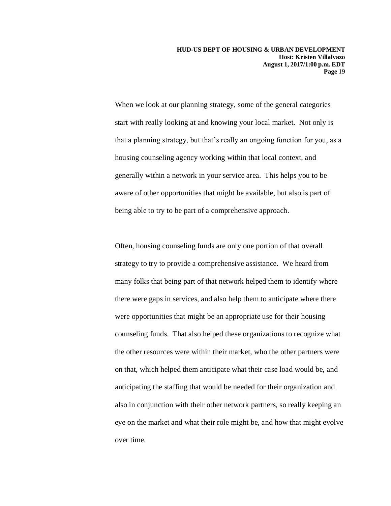When we look at our planning strategy, some of the general categories start with really looking at and knowing your local market. Not only is that a planning strategy, but that's really an ongoing function for you, as a housing counseling agency working within that local context, and generally within a network in your service area. This helps you to be aware of other opportunities that might be available, but also is part of being able to try to be part of a comprehensive approach.

Often, housing counseling funds are only one portion of that overall strategy to try to provide a comprehensive assistance. We heard from many folks that being part of that network helped them to identify where there were gaps in services, and also help them to anticipate where there were opportunities that might be an appropriate use for their housing counseling funds. That also helped these organizations to recognize what the other resources were within their market, who the other partners were on that, which helped them anticipate what their case load would be, and anticipating the staffing that would be needed for their organization and also in conjunction with their other network partners, so really keeping an eye on the market and what their role might be, and how that might evolve over time.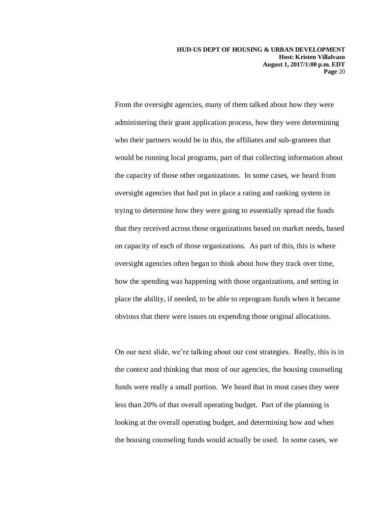From the oversight agencies, many of them talked about how they were administering their grant application process, how they were determining who their partners would be in this, the affiliates and sub-grantees that would be running local programs, part of that collecting information about the capacity of those other organizations. In some cases, we heard from oversight agencies that had put in place a rating and ranking system in trying to determine how they were going to essentially spread the funds that they received across those organizations based on market needs, based on capacity of each of those organizations. As part of this, this is where oversight agencies often began to think about how they track over time, how the spending was happening with those organizations, and setting in place the ability, if needed, to be able to reprogram funds when it became obvious that there were issues on expending those original allocations.

On our next slide, we're talking about our cost strategies. Really, this is in the context and thinking that most of our agencies, the housing counseling funds were really a small portion. We heard that in most cases they were less than 20% of that overall operating budget. Part of the planning is looking at the overall operating budget, and determining how and when the housing counseling funds would actually be used. In some cases, we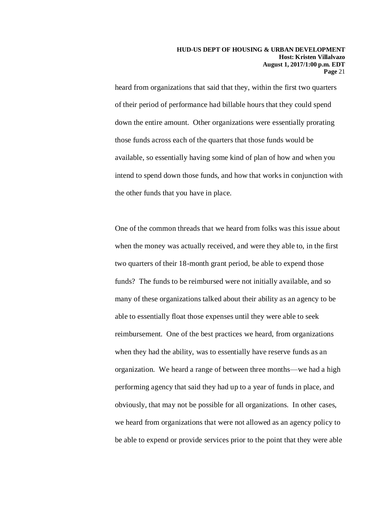heard from organizations that said that they, within the first two quarters of their period of performance had billable hours that they could spend down the entire amount. Other organizations were essentially prorating those funds across each of the quarters that those funds would be available, so essentially having some kind of plan of how and when you intend to spend down those funds, and how that works in conjunction with the other funds that you have in place.

One of the common threads that we heard from folks was this issue about when the money was actually received, and were they able to, in the first two quarters of their 18-month grant period, be able to expend those funds? The funds to be reimbursed were not initially available, and so many of these organizations talked about their ability as an agency to be able to essentially float those expenses until they were able to seek reimbursement. One of the best practices we heard, from organizations when they had the ability, was to essentially have reserve funds as an organization. We heard a range of between three months—we had a high performing agency that said they had up to a year of funds in place, and obviously, that may not be possible for all organizations. In other cases, we heard from organizations that were not allowed as an agency policy to be able to expend or provide services prior to the point that they were able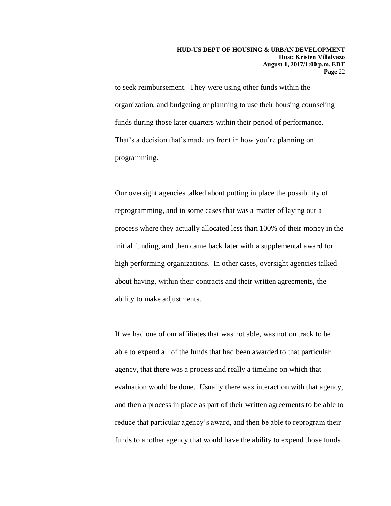to seek reimbursement. They were using other funds within the organization, and budgeting or planning to use their housing counseling funds during those later quarters within their period of performance. That's a decision that's made up front in how you're planning on programming.

Our oversight agencies talked about putting in place the possibility of reprogramming, and in some cases that was a matter of laying out a process where they actually allocated less than 100% of their money in the initial funding, and then came back later with a supplemental award for high performing organizations. In other cases, oversight agencies talked about having, within their contracts and their written agreements, the ability to make adjustments.

If we had one of our affiliates that was not able, was not on track to be able to expend all of the funds that had been awarded to that particular agency, that there was a process and really a timeline on which that evaluation would be done. Usually there was interaction with that agency, and then a process in place as part of their written agreements to be able to reduce that particular agency's award, and then be able to reprogram their funds to another agency that would have the ability to expend those funds.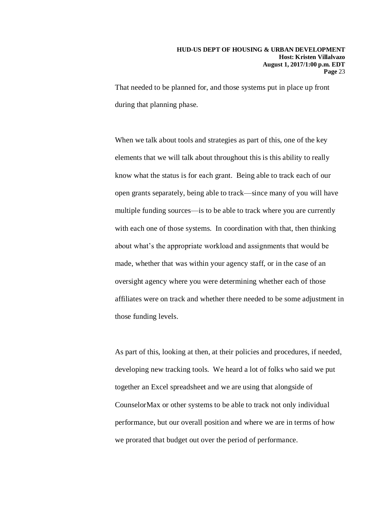That needed to be planned for, and those systems put in place up front during that planning phase.

When we talk about tools and strategies as part of this, one of the key elements that we will talk about throughout this is this ability to really know what the status is for each grant. Being able to track each of our open grants separately, being able to track—since many of you will have multiple funding sources—is to be able to track where you are currently with each one of those systems. In coordination with that, then thinking about what's the appropriate workload and assignments that would be made, whether that was within your agency staff, or in the case of an oversight agency where you were determining whether each of those affiliates were on track and whether there needed to be some adjustment in those funding levels.

As part of this, looking at then, at their policies and procedures, if needed, developing new tracking tools. We heard a lot of folks who said we put together an Excel spreadsheet and we are using that alongside of CounselorMax or other systems to be able to track not only individual performance, but our overall position and where we are in terms of how we prorated that budget out over the period of performance.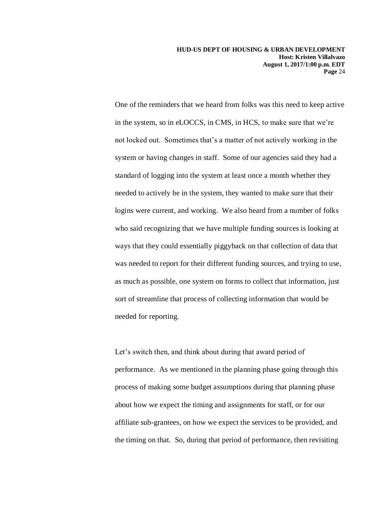One of the reminders that we heard from folks was this need to keep active in the system, so in eLOCCS, in CMS, in HCS, to make sure that we're not locked out. Sometimes that's a matter of not actively working in the system or having changes in staff. Some of our agencies said they had a standard of logging into the system at least once a month whether they needed to actively be in the system, they wanted to make sure that their logins were current, and working. We also heard from a number of folks who said recognizing that we have multiple funding sources is looking at ways that they could essentially piggyback on that collection of data that was needed to report for their different funding sources, and trying to use, as much as possible, one system on forms to collect that information, just sort of streamline that process of collecting information that would be needed for reporting.

Let's switch then, and think about during that award period of performance. As we mentioned in the planning phase going through this process of making some budget assumptions during that planning phase about how we expect the timing and assignments for staff, or for our affiliate sub-grantees, on how we expect the services to be provided, and the timing on that. So, during that period of performance, then revisiting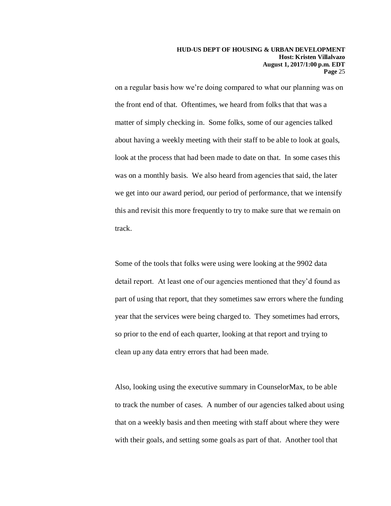on a regular basis how we're doing compared to what our planning was on the front end of that. Oftentimes, we heard from folks that that was a matter of simply checking in. Some folks, some of our agencies talked about having a weekly meeting with their staff to be able to look at goals, look at the process that had been made to date on that. In some cases this was on a monthly basis. We also heard from agencies that said, the later we get into our award period, our period of performance, that we intensify this and revisit this more frequently to try to make sure that we remain on track.

Some of the tools that folks were using were looking at the 9902 data detail report. At least one of our agencies mentioned that they'd found as part of using that report, that they sometimes saw errors where the funding year that the services were being charged to. They sometimes had errors, so prior to the end of each quarter, looking at that report and trying to clean up any data entry errors that had been made.

Also, looking using the executive summary in CounselorMax, to be able to track the number of cases. A number of our agencies talked about using that on a weekly basis and then meeting with staff about where they were with their goals, and setting some goals as part of that. Another tool that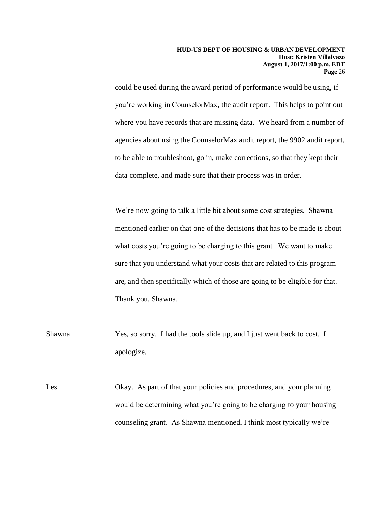could be used during the award period of performance would be using, if you're working in CounselorMax, the audit report. This helps to point out where you have records that are missing data. We heard from a number of agencies about using the CounselorMax audit report, the 9902 audit report, to be able to troubleshoot, go in, make corrections, so that they kept their data complete, and made sure that their process was in order.

We're now going to talk a little bit about some cost strategies. Shawna mentioned earlier on that one of the decisions that has to be made is about what costs you're going to be charging to this grant. We want to make sure that you understand what your costs that are related to this program are, and then specifically which of those are going to be eligible for that. Thank you, Shawna.

Shawna Yes, so sorry. I had the tools slide up, and I just went back to cost. I apologize.

Les Okay. As part of that your policies and procedures, and your planning would be determining what you're going to be charging to your housing counseling grant. As Shawna mentioned, I think most typically we're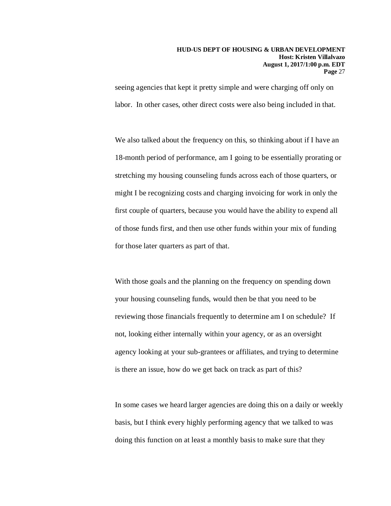seeing agencies that kept it pretty simple and were charging off only on labor. In other cases, other direct costs were also being included in that.

We also talked about the frequency on this, so thinking about if I have an 18-month period of performance, am I going to be essentially prorating or stretching my housing counseling funds across each of those quarters, or might I be recognizing costs and charging invoicing for work in only the first couple of quarters, because you would have the ability to expend all of those funds first, and then use other funds within your mix of funding for those later quarters as part of that.

With those goals and the planning on the frequency on spending down your housing counseling funds, would then be that you need to be reviewing those financials frequently to determine am I on schedule? If not, looking either internally within your agency, or as an oversight agency looking at your sub-grantees or affiliates, and trying to determine is there an issue, how do we get back on track as part of this?

In some cases we heard larger agencies are doing this on a daily or weekly basis, but I think every highly performing agency that we talked to was doing this function on at least a monthly basis to make sure that they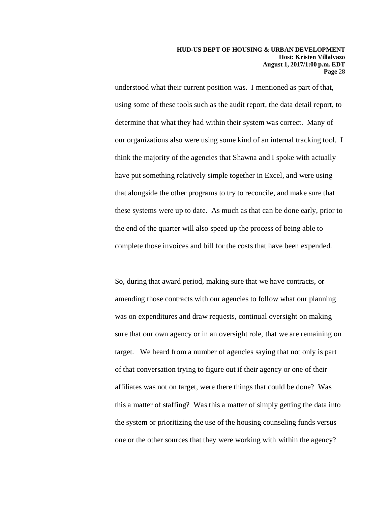understood what their current position was. I mentioned as part of that, using some of these tools such as the audit report, the data detail report, to determine that what they had within their system was correct. Many of our organizations also were using some kind of an internal tracking tool. I think the majority of the agencies that Shawna and I spoke with actually have put something relatively simple together in Excel, and were using that alongside the other programs to try to reconcile, and make sure that these systems were up to date. As much as that can be done early, prior to the end of the quarter will also speed up the process of being able to complete those invoices and bill for the costs that have been expended.

So, during that award period, making sure that we have contracts, or amending those contracts with our agencies to follow what our planning was on expenditures and draw requests, continual oversight on making sure that our own agency or in an oversight role, that we are remaining on target. We heard from a number of agencies saying that not only is part of that conversation trying to figure out if their agency or one of their affiliates was not on target, were there things that could be done? Was this a matter of staffing? Was this a matter of simply getting the data into the system or prioritizing the use of the housing counseling funds versus one or the other sources that they were working with within the agency?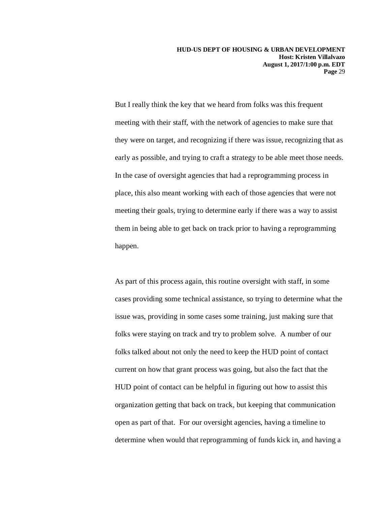But I really think the key that we heard from folks was this frequent meeting with their staff, with the network of agencies to make sure that they were on target, and recognizing if there was issue, recognizing that as early as possible, and trying to craft a strategy to be able meet those needs. In the case of oversight agencies that had a reprogramming process in place, this also meant working with each of those agencies that were not meeting their goals, trying to determine early if there was a way to assist them in being able to get back on track prior to having a reprogramming happen.

As part of this process again, this routine oversight with staff, in some cases providing some technical assistance, so trying to determine what the issue was, providing in some cases some training, just making sure that folks were staying on track and try to problem solve. A number of our folks talked about not only the need to keep the HUD point of contact current on how that grant process was going, but also the fact that the HUD point of contact can be helpful in figuring out how to assist this organization getting that back on track, but keeping that communication open as part of that. For our oversight agencies, having a timeline to determine when would that reprogramming of funds kick in, and having a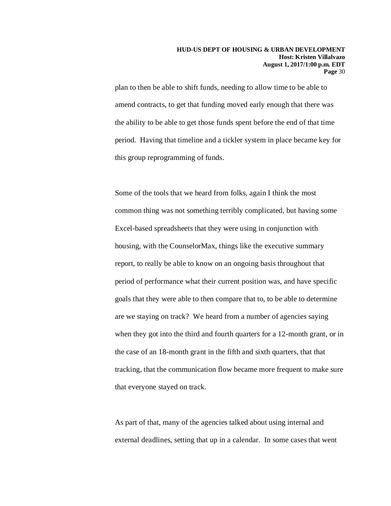plan to then be able to shift funds, needing to allow time to be able to amend contracts, to get that funding moved early enough that there was the ability to be able to get those funds spent before the end of that time period. Having that timeline and a tickler system in place became key for this group reprogramming of funds.

Some of the tools that we heard from folks, again I think the most common thing was not something terribly complicated, but having some Excel-based spreadsheets that they were using in conjunction with housing, with the CounselorMax, things like the executive summary report, to really be able to know on an ongoing basis throughout that period of performance what their current position was, and have specific goals that they were able to then compare that to, to be able to determine are we staying on track? We heard from a number of agencies saying when they got into the third and fourth quarters for a 12-month grant, or in the case of an 18-month grant in the fifth and sixth quarters, that that tracking, that the communication flow became more frequent to make sure that everyone stayed on track.

As part of that, many of the agencies talked about using internal and external deadlines, setting that up in a calendar. In some cases that went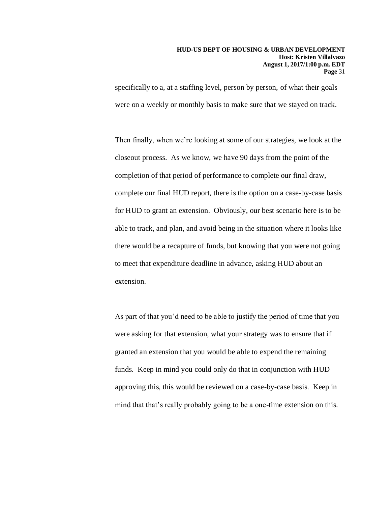specifically to a, at a staffing level, person by person, of what their goals were on a weekly or monthly basis to make sure that we stayed on track.

Then finally, when we're looking at some of our strategies, we look at the closeout process. As we know, we have 90 days from the point of the completion of that period of performance to complete our final draw, complete our final HUD report, there is the option on a case-by-case basis for HUD to grant an extension. Obviously, our best scenario here is to be able to track, and plan, and avoid being in the situation where it looks like there would be a recapture of funds, but knowing that you were not going to meet that expenditure deadline in advance, asking HUD about an extension.

As part of that you'd need to be able to justify the period of time that you were asking for that extension, what your strategy was to ensure that if granted an extension that you would be able to expend the remaining funds. Keep in mind you could only do that in conjunction with HUD approving this, this would be reviewed on a case-by-case basis. Keep in mind that that's really probably going to be a one-time extension on this.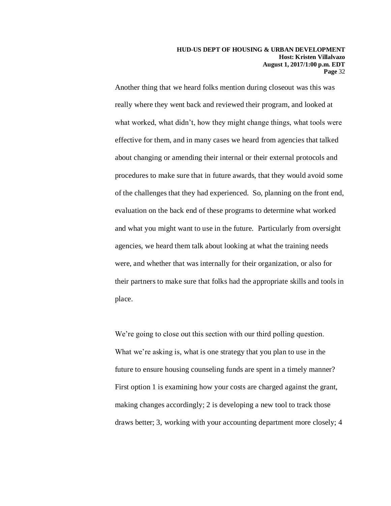Another thing that we heard folks mention during closeout was this was really where they went back and reviewed their program, and looked at what worked, what didn't, how they might change things, what tools were effective for them, and in many cases we heard from agencies that talked about changing or amending their internal or their external protocols and procedures to make sure that in future awards, that they would avoid some of the challenges that they had experienced. So, planning on the front end, evaluation on the back end of these programs to determine what worked and what you might want to use in the future. Particularly from oversight agencies, we heard them talk about looking at what the training needs were, and whether that was internally for their organization, or also for their partners to make sure that folks had the appropriate skills and tools in place.

We're going to close out this section with our third polling question. What we're asking is, what is one strategy that you plan to use in the future to ensure housing counseling funds are spent in a timely manner? First option 1 is examining how your costs are charged against the grant, making changes accordingly; 2 is developing a new tool to track those draws better; 3, working with your accounting department more closely; 4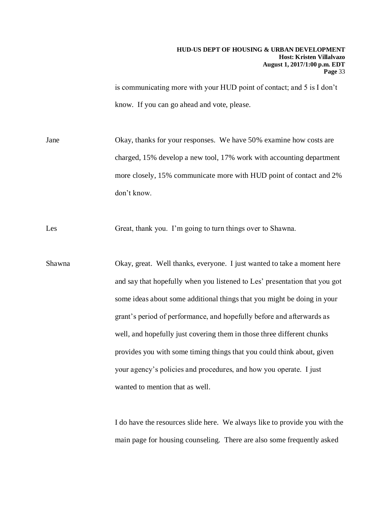is communicating more with your HUD point of contact; and 5 is I don't know. If you can go ahead and vote, please.

Jane Okay, thanks for your responses. We have 50% examine how costs are charged, 15% develop a new tool, 17% work with accounting department more closely, 15% communicate more with HUD point of contact and 2% don't know.

Les Great, thank you. I'm going to turn things over to Shawna.

Shawna Okay, great. Well thanks, everyone. I just wanted to take a moment here and say that hopefully when you listened to Les' presentation that you got some ideas about some additional things that you might be doing in your grant's period of performance, and hopefully before and afterwards as well, and hopefully just covering them in those three different chunks provides you with some timing things that you could think about, given your agency's policies and procedures, and how you operate. I just wanted to mention that as well.

> I do have the resources slide here. We always like to provide you with the main page for housing counseling. There are also some frequently asked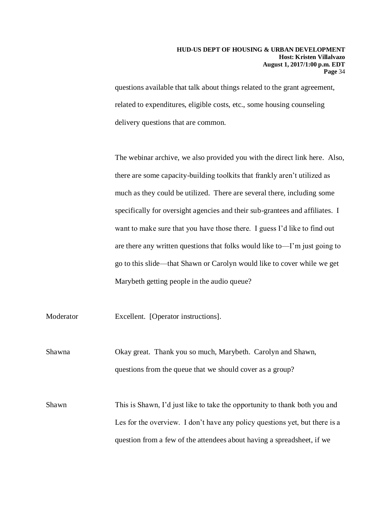questions available that talk about things related to the grant agreement, related to expenditures, eligible costs, etc., some housing counseling delivery questions that are common.

The webinar archive, we also provided you with the direct link here. Also, there are some capacity-building toolkits that frankly aren't utilized as much as they could be utilized. There are several there, including some specifically for oversight agencies and their sub-grantees and affiliates. I want to make sure that you have those there. I guess I'd like to find out are there any written questions that folks would like to—I'm just going to go to this slide—that Shawn or Carolyn would like to cover while we get Marybeth getting people in the audio queue?

Moderator Excellent. [Operator instructions].

Shawna Okay great. Thank you so much, Marybeth. Carolyn and Shawn, questions from the queue that we should cover as a group?

Shawn This is Shawn, I'd just like to take the opportunity to thank both you and Les for the overview. I don't have any policy questions yet, but there is a question from a few of the attendees about having a spreadsheet, if we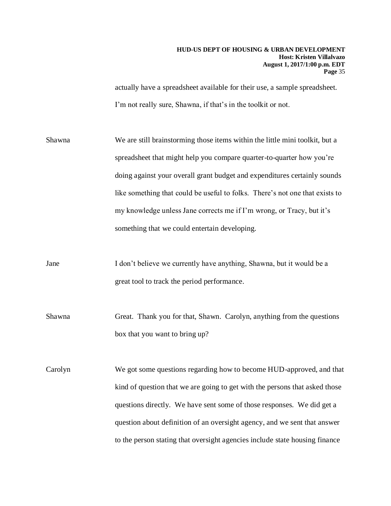actually have a spreadsheet available for their use, a sample spreadsheet. I'm not really sure, Shawna, if that's in the toolkit or not.

Shawna We are still brainstorming those items within the little mini toolkit, but a spreadsheet that might help you compare quarter-to-quarter how you're doing against your overall grant budget and expenditures certainly sounds like something that could be useful to folks. There's not one that exists to my knowledge unless Jane corrects me if I'm wrong, or Tracy, but it's something that we could entertain developing.

Jane I don't believe we currently have anything, Shawna, but it would be a great tool to track the period performance.

Shawna Great. Thank you for that, Shawn. Carolyn, anything from the questions box that you want to bring up?

Carolyn We got some questions regarding how to become HUD-approved, and that kind of question that we are going to get with the persons that asked those questions directly. We have sent some of those responses. We did get a question about definition of an oversight agency, and we sent that answer to the person stating that oversight agencies include state housing finance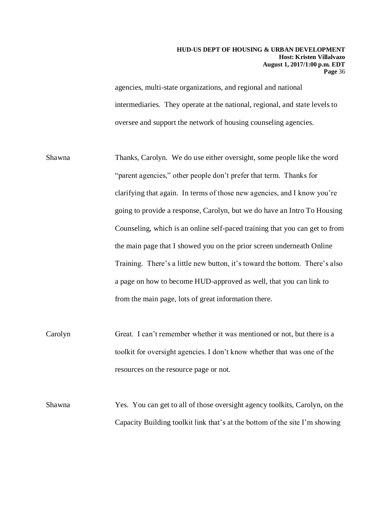agencies, multi-state organizations, and regional and national intermediaries. They operate at the national, regional, and state levels to oversee and support the network of housing counseling agencies.

- Shawna Thanks, Carolyn. We do use either oversight, some people like the word "parent agencies," other people don't prefer that term. Thanks for clarifying that again. In terms of those new agencies, and I know you're going to provide a response, Carolyn, but we do have an Intro To Housing Counseling, which is an online self-paced training that you can get to from the main page that I showed you on the prior screen underneath Online Training. There's a little new button, it's toward the bottom. There's also a page on how to become HUD-approved as well, that you can link to from the main page, lots of great information there.
- Carolyn Great. I can't remember whether it was mentioned or not, but there is a toolkit for oversight agencies. I don't know whether that was one of the resources on the resource page or not.
- Shawna Yes. You can get to all of those oversight agency toolkits, Carolyn, on the Capacity Building toolkit link that's at the bottom of the site I'm showing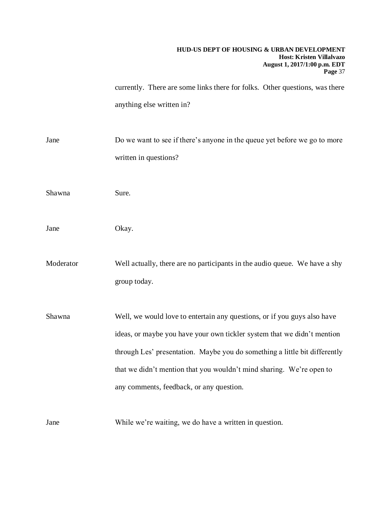currently. There are some links there for folks. Other questions, was there anything else written in?

Jane Do we want to see if there's anyone in the queue yet before we go to more written in questions?

Shawna Sure.

Jane Okay.

Moderator Well actually, there are no participants in the audio queue. We have a shy group today.

Shawna Well, we would love to entertain any questions, or if you guys also have ideas, or maybe you have your own tickler system that we didn't mention through Les' presentation. Maybe you do something a little bit differently that we didn't mention that you wouldn't mind sharing. We're open to any comments, feedback, or any question.

Jane While we're waiting, we do have a written in question.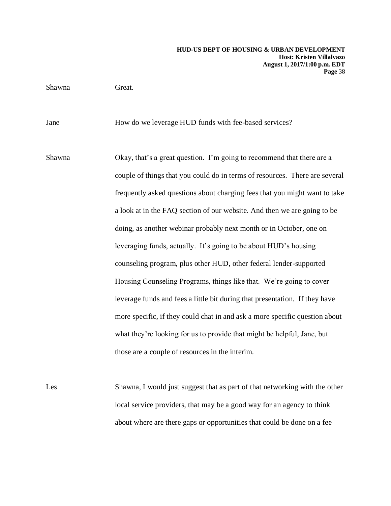Shawna Great.

Jane How do we leverage HUD funds with fee-based services?

Shawna Okay, that's a great question. I'm going to recommend that there are a couple of things that you could do in terms of resources. There are several frequently asked questions about charging fees that you might want to take a look at in the FAQ section of our website. And then we are going to be doing, as another webinar probably next month or in October, one on leveraging funds, actually. It's going to be about HUD's housing counseling program, plus other HUD, other federal lender-supported Housing Counseling Programs, things like that. We're going to cover leverage funds and fees a little bit during that presentation. If they have more specific, if they could chat in and ask a more specific question about what they're looking for us to provide that might be helpful, Jane, but those are a couple of resources in the interim.

Les Shawna, I would just suggest that as part of that networking with the other local service providers, that may be a good way for an agency to think about where are there gaps or opportunities that could be done on a fee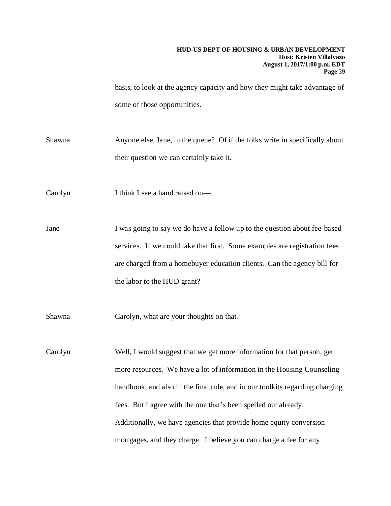basis, to look at the agency capacity and how they might take advantage of some of those opportunities.

Shawna Anyone else, Jane, in the queue? Of if the folks write in specifically about their question we can certainly take it.

Carolyn I think I see a hand raised on—

Jane I was going to say we do have a follow up to the question about fee-based services. If we could take that first. Some examples are registration fees are charged from a homebuyer education clients. Can the agency bill for the labor to the HUD grant?

Shawna Carolyn, what are your thoughts on that?

Carolyn Well, I would suggest that we get more information for that person, get more resources. We have a lot of information in the Housing Counseling handbook, and also in the final rule, and in our toolkits regarding charging fees. But I agree with the one that's been spelled out already. Additionally, we have agencies that provide home equity conversion mortgages, and they charge. I believe you can charge a fee for any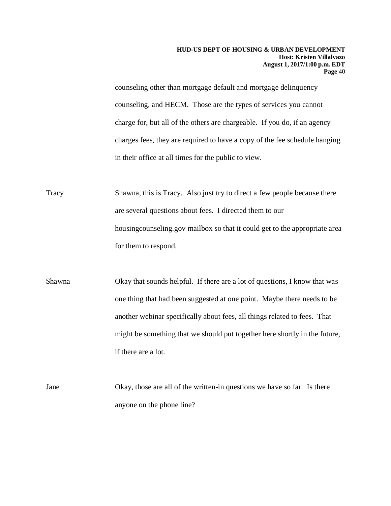counseling other than mortgage default and mortgage delinquency counseling, and HECM. Those are the types of services you cannot charge for, but all of the others are chargeable. If you do, if an agency charges fees, they are required to have a copy of the fee schedule hanging in their office at all times for the public to view.

Tracy Shawna, this is Tracy. Also just try to direct a few people because there are several questions about fees. I directed them to our housingcounseling.gov mailbox so that it could get to the appropriate area for them to respond.

Shawna Okay that sounds helpful. If there are a lot of questions, I know that was one thing that had been suggested at one point. Maybe there needs to be another webinar specifically about fees, all things related to fees. That might be something that we should put together here shortly in the future, if there are a lot.

Jane Okay, those are all of the written-in questions we have so far. Is there anyone on the phone line?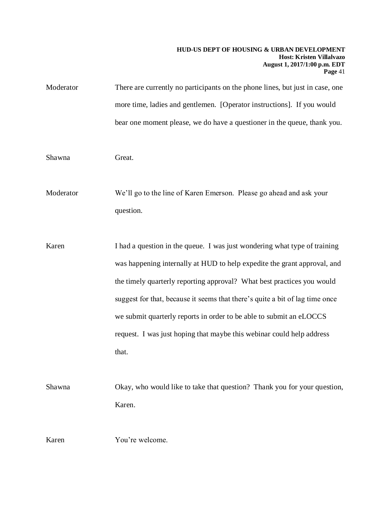Moderator There are currently no participants on the phone lines, but just in case, one more time, ladies and gentlemen. [Operator instructions]. If you would bear one moment please, we do have a questioner in the queue, thank you.

#### Shawna Great.

Moderator We'll go to the line of Karen Emerson. Please go ahead and ask your question.

- Karen I had a question in the queue. I was just wondering what type of training was happening internally at HUD to help expedite the grant approval, and the timely quarterly reporting approval? What best practices you would suggest for that, because it seems that there's quite a bit of lag time once we submit quarterly reports in order to be able to submit an eLOCCS request. I was just hoping that maybe this webinar could help address that.
- Shawna Okay, who would like to take that question? Thank you for your question, Karen.

Karen You're welcome.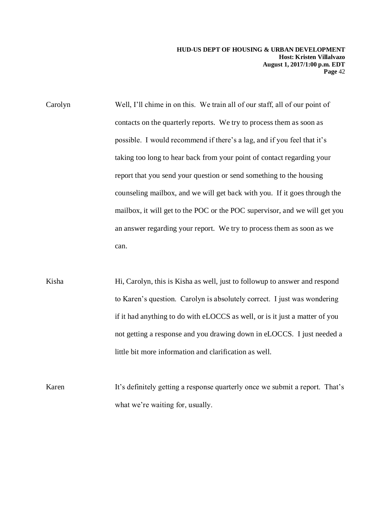- Carolyn Well, I'll chime in on this. We train all of our staff, all of our point of contacts on the quarterly reports. We try to process them as soon as possible. I would recommend if there's a lag, and if you feel that it's taking too long to hear back from your point of contact regarding your report that you send your question or send something to the housing counseling mailbox, and we will get back with you. If it goes through the mailbox, it will get to the POC or the POC supervisor, and we will get you an answer regarding your report. We try to process them as soon as we can.
- Kisha Hi, Carolyn, this is Kisha as well, just to followup to answer and respond to Karen's question. Carolyn is absolutely correct. I just was wondering if it had anything to do with eLOCCS as well, or is it just a matter of you not getting a response and you drawing down in eLOCCS. I just needed a little bit more information and clarification as well.
- Karen It's definitely getting a response quarterly once we submit a report. That's what we're waiting for, usually.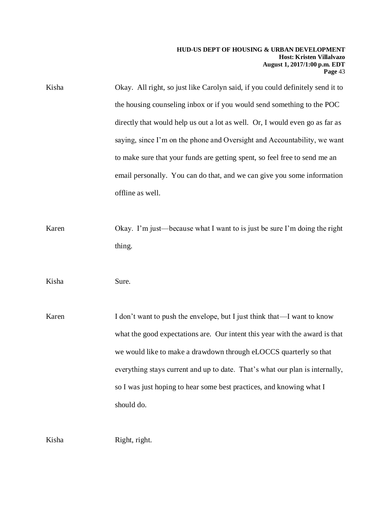Kisha Okay. All right, so just like Carolyn said, if you could definitely send it to the housing counseling inbox or if you would send something to the POC directly that would help us out a lot as well. Or, I would even go as far as saying, since I'm on the phone and Oversight and Accountability, we want to make sure that your funds are getting spent, so feel free to send me an email personally. You can do that, and we can give you some information offline as well.

Karen Okay. I'm just—because what I want to is just be sure I'm doing the right thing.

Kisha Sure.

Karen I don't want to push the envelope, but I just think that—I want to know what the good expectations are. Our intent this year with the award is that we would like to make a drawdown through eLOCCS quarterly so that everything stays current and up to date. That's what our plan is internally, so I was just hoping to hear some best practices, and knowing what I should do.

Kisha Right, right.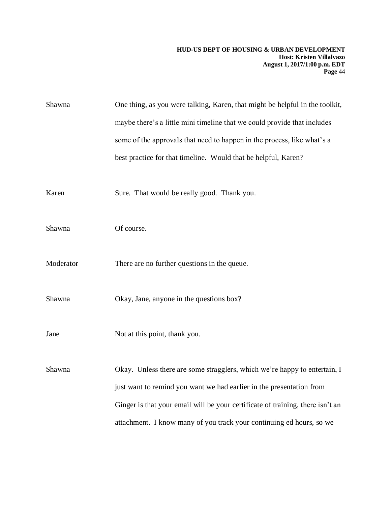| Shawna    | One thing, as you were talking, Karen, that might be helpful in the toolkit,   |
|-----------|--------------------------------------------------------------------------------|
|           | maybe there's a little mini timeline that we could provide that includes       |
|           | some of the approvals that need to happen in the process, like what's a        |
|           | best practice for that timeline. Would that be helpful, Karen?                 |
|           |                                                                                |
| Karen     | Sure. That would be really good. Thank you.                                    |
|           |                                                                                |
| Shawna    | Of course.                                                                     |
|           |                                                                                |
| Moderator | There are no further questions in the queue.                                   |
|           |                                                                                |
| Shawna    | Okay, Jane, anyone in the questions box?                                       |
| Jane      |                                                                                |
|           | Not at this point, thank you.                                                  |
| Shawna    | Okay. Unless there are some stragglers, which we're happy to entertain, I      |
|           | just want to remind you want we had earlier in the presentation from           |
|           | Ginger is that your email will be your certificate of training, there isn't an |
|           |                                                                                |
|           | attachment. I know many of you track your continuing ed hours, so we           |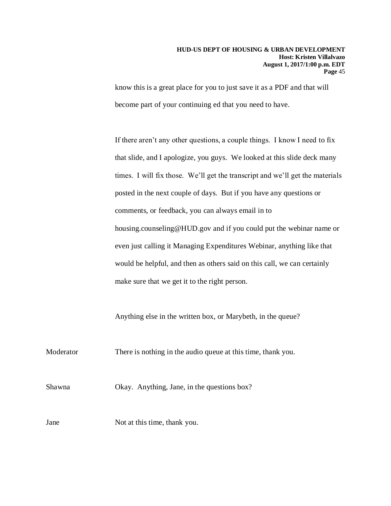know this is a great place for you to just save it as a PDF and that will become part of your continuing ed that you need to have.

If there aren't any other questions, a couple things. I know I need to fix that slide, and I apologize, you guys. We looked at this slide deck many times. I will fix those. We'll get the transcript and we'll get the materials posted in the next couple of days. But if you have any questions or comments, or feedback, you can always email in to housing.counseling@HUD.gov and if you could put the webinar name or even just calling it Managing Expenditures Webinar, anything like that would be helpful, and then as others said on this call, we can certainly make sure that we get it to the right person.

Anything else in the written box, or Marybeth, in the queue?

Moderator There is nothing in the audio queue at this time, thank you.

Shawna Okay. Anything, Jane, in the questions box?

Jane Not at this time, thank you.